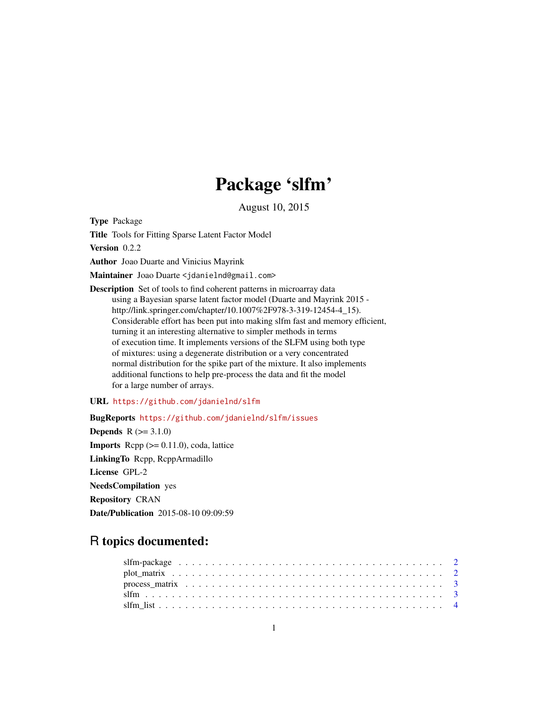## Package 'slfm'

August 10, 2015

Type Package

Title Tools for Fitting Sparse Latent Factor Model

Version 0.2.2

Author Joao Duarte and Vinicius Mayrink

Maintainer Joao Duarte <jdanielnd@gmail.com>

Description Set of tools to find coherent patterns in microarray data using a Bayesian sparse latent factor model (Duarte and Mayrink 2015 http://link.springer.com/chapter/10.1007%2F978-3-319-12454-4\_15). Considerable effort has been put into making slfm fast and memory efficient, turning it an interesting alternative to simpler methods in terms of execution time. It implements versions of the SLFM using both type of mixtures: using a degenerate distribution or a very concentrated normal distribution for the spike part of the mixture. It also implements additional functions to help pre-process the data and fit the model for a large number of arrays.

URL <https://github.com/jdanielnd/slfm>

BugReports <https://github.com/jdanielnd/slfm/issues> **Depends**  $R (= 3.1.0)$ **Imports** Rcpp  $(>= 0.11.0)$ , coda, lattice LinkingTo Rcpp, RcppArmadillo License GPL-2 NeedsCompilation yes Repository CRAN Date/Publication 2015-08-10 09:09:59

### R topics documented: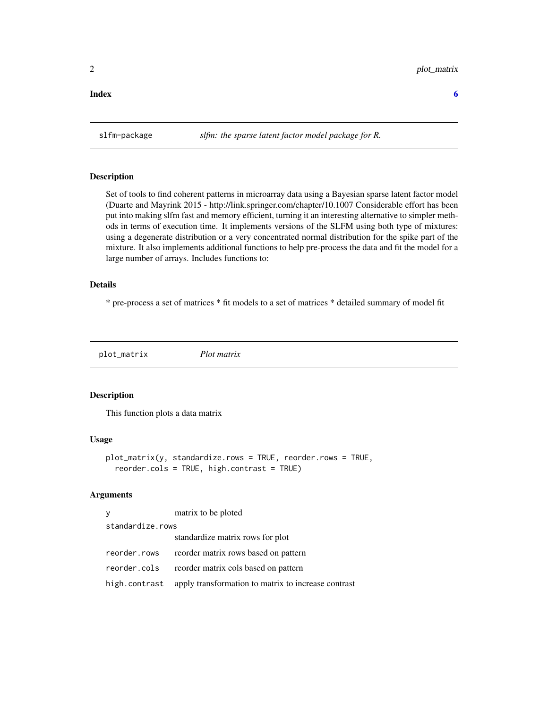#### <span id="page-1-0"></span>**Index** [6](#page-5-0) **6**

#### Description

Set of tools to find coherent patterns in microarray data using a Bayesian sparse latent factor model (Duarte and Mayrink 2015 - http://link.springer.com/chapter/10.1007 Considerable effort has been put into making slfm fast and memory efficient, turning it an interesting alternative to simpler methods in terms of execution time. It implements versions of the SLFM using both type of mixtures: using a degenerate distribution or a very concentrated normal distribution for the spike part of the mixture. It also implements additional functions to help pre-process the data and fit the model for a large number of arrays. Includes functions to:

#### Details

\* pre-process a set of matrices \* fit models to a set of matrices \* detailed summary of model fit

plot\_matrix *Plot matrix*

#### Description

This function plots a data matrix

#### Usage

```
plot_matrix(y, standardize.rows = TRUE, reorder.rows = TRUE,
  reorder.cols = TRUE, high.contrast = TRUE)
```
#### Arguments

| y                | matrix to be ploted                                               |  |  |  |
|------------------|-------------------------------------------------------------------|--|--|--|
| standardize.rows |                                                                   |  |  |  |
|                  | standardize matrix rows for plot                                  |  |  |  |
| reorder.rows     | reorder matrix rows based on pattern                              |  |  |  |
| reorder.cols     | reorder matrix cols based on pattern                              |  |  |  |
|                  | high.contrast apply transformation to matrix to increase contrast |  |  |  |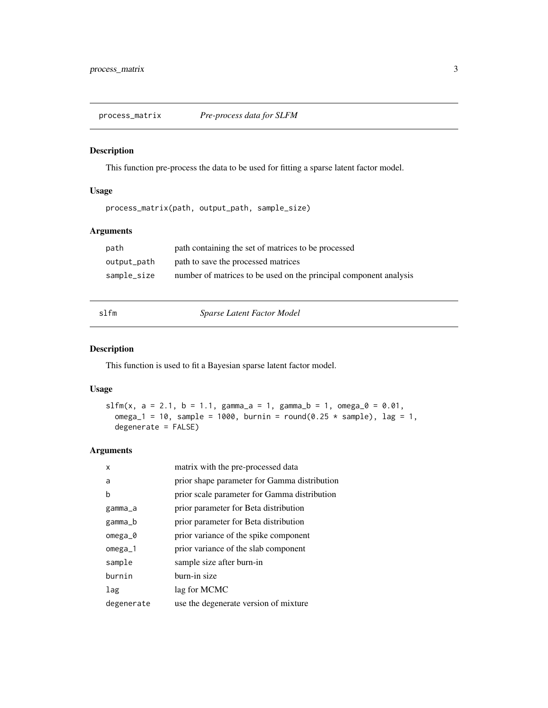<span id="page-2-0"></span>process\_matrix *Pre-process data for SLFM*

#### Description

This function pre-process the data to be used for fitting a sparse latent factor model.

#### Usage

process\_matrix(path, output\_path, sample\_size)

#### Arguments

| path        | path containing the set of matrices to be processed               |
|-------------|-------------------------------------------------------------------|
| output_path | path to save the processed matrices                               |
| sample_size | number of matrices to be used on the principal component analysis |

slfm *Sparse Latent Factor Model*

#### Description

This function is used to fit a Bayesian sparse latent factor model.

#### Usage

```
slfm(x, a = 2.1, b = 1.1, gamma_a = 1, gamma_b = 1, omega_0 = 0.01,
 omega_1 = 10, sample = 1000, burnin = round(0.25 * sample), lag = 1,
 degenerate = FALSE)
```
#### Arguments

| x          | matrix with the pre-processed data           |
|------------|----------------------------------------------|
| a          | prior shape parameter for Gamma distribution |
| b          | prior scale parameter for Gamma distribution |
| gamma_a    | prior parameter for Beta distribution        |
| gamma_b    | prior parameter for Beta distribution        |
| omega_0    | prior variance of the spike component        |
| $omega_1$  | prior variance of the slab component         |
| sample     | sample size after burn-in                    |
| burnin     | burn-in size                                 |
| lag        | lag for MCMC                                 |
| degenerate | use the degenerate version of mixture        |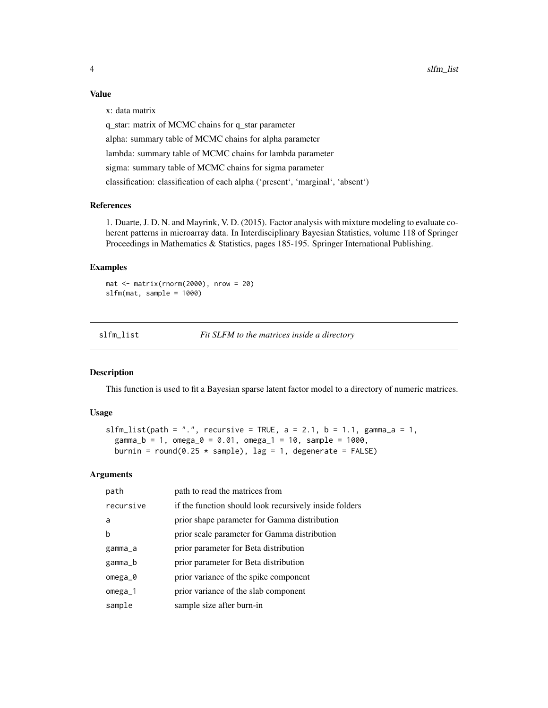#### Value

x: data matrix

q\_star: matrix of MCMC chains for q\_star parameter alpha: summary table of MCMC chains for alpha parameter lambda: summary table of MCMC chains for lambda parameter sigma: summary table of MCMC chains for sigma parameter classification: classification of each alpha ('present', 'marginal', 'absent')

#### References

1. Duarte, J. D. N. and Mayrink, V. D. (2015). Factor analysis with mixture modeling to evaluate coherent patterns in microarray data. In Interdisciplinary Bayesian Statistics, volume 118 of Springer Proceedings in Mathematics & Statistics, pages 185-195. Springer International Publishing.

#### Examples

```
mat <- matrix(rnorm(2000), nrow = 20)
slfm(mat, sample = 1000)
```
slfm\_list *Fit SLFM to the matrices inside a directory*

#### Description

This function is used to fit a Bayesian sparse latent factor model to a directory of numeric matrices.

#### Usage

```
slfm_list(path = ".", recursive = TRUE, a = 2.1, b = 1.1, gamma_a = 1,
  gamma_b = 1, omega_0 = 0.01, omega_1 = 10, sample = 1000,
 burnin = round(0.25 * sample), lag = 1, degenerate = FALSE)
```
#### Arguments

| path      | path to read the matrices from                         |
|-----------|--------------------------------------------------------|
| recursive | if the function should look recursively inside folders |
| a         | prior shape parameter for Gamma distribution           |
| b         | prior scale parameter for Gamma distribution           |
| gamma_a   | prior parameter for Beta distribution                  |
| gamma_b   | prior parameter for Beta distribution                  |
| $omega_2$ | prior variance of the spike component                  |
| omega_1   | prior variance of the slab component                   |
| sample    | sample size after burn-in                              |

<span id="page-3-0"></span>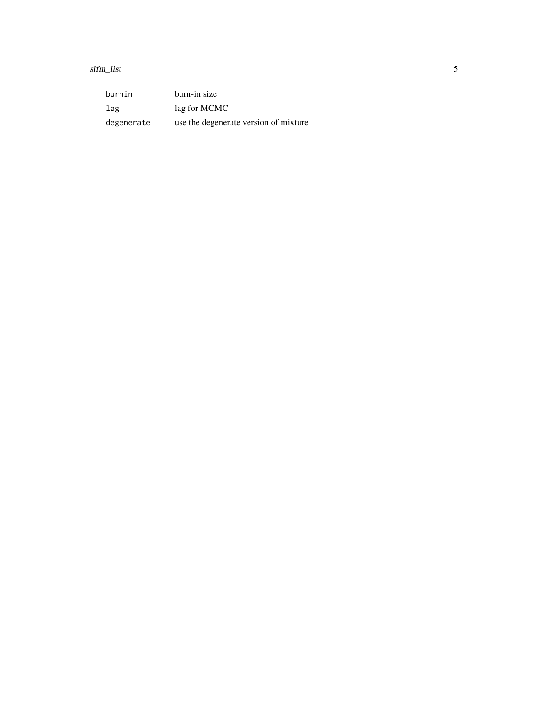slfm\_list 5

burnin burn-in size lag lag for MCMC degenerate use the degenerate version of mixture